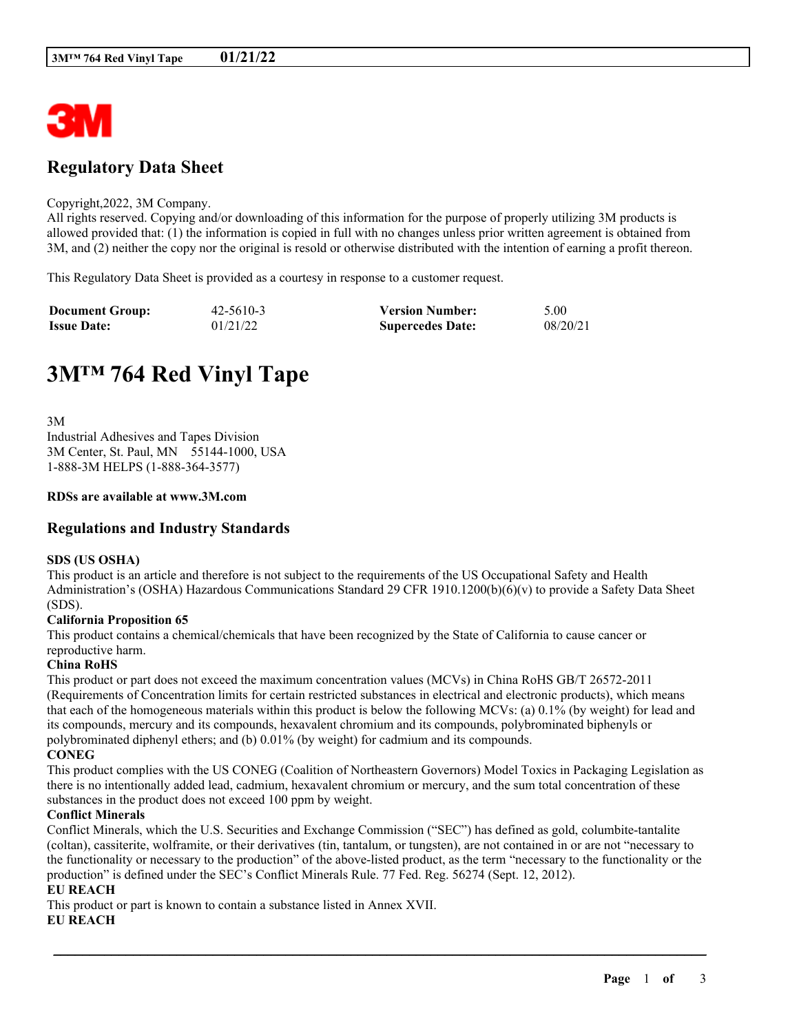

## **Regulatory Data Sheet**

#### Copyright,2022, 3M Company.

All rights reserved. Copying and/or downloading of this information for the purpose of properly utilizing 3M products is allowed provided that: (1) the information is copied in full with no changes unless prior written agreement is obtained from 3M, and (2) neither the copy nor the original is resold or otherwise distributed with the intention of earning a profit thereon.

This Regulatory Data Sheet is provided as a courtesy in response to a customer request.

| <b>Document Group:</b> | $42 - 5610 - 3$ | <b>Version Number:</b>  | 5.00     |
|------------------------|-----------------|-------------------------|----------|
| <b>Issue Date:</b>     | 01/21/22        | <b>Supercedes Date:</b> | 08/20/21 |

# **3M™ 764 Red Vinyl Tape**

3M Industrial Adhesives and Tapes Division 3M Center, St. Paul, MN 55144-1000, USA 1-888-3M HELPS (1-888-364-3577)

#### **RDSs are available at www.3M.com**

## **Regulations and Industry Standards**

#### **SDS (US OSHA)**

This product is an article and therefore is not subject to the requirements of the US Occupational Safety and Health Administration's (OSHA) Hazardous Communications Standard 29 CFR 1910.1200(b)(6)(v) to provide a Safety Data Sheet (SDS).

#### **California Proposition 65**

This product contains a chemical/chemicals that have been recognized by the State of California to cause cancer or reproductive harm.

#### **China RoHS**

This product or part does not exceed the maximum concentration values (MCVs) in China RoHS GB/T 26572-2011 (Requirements of Concentration limits for certain restricted substances in electrical and electronic products), which means that each of the homogeneous materials within this product is below the following MCVs: (a) 0.1% (by weight) for lead and its compounds, mercury and its compounds, hexavalent chromium and its compounds, polybrominated biphenyls or polybrominated diphenyl ethers; and (b) 0.01% (by weight) for cadmium and its compounds. **CONEG**

This product complies with the US CONEG (Coalition of Northeastern Governors) Model Toxics in Packaging Legislation as there is no intentionally added lead, cadmium, hexavalent chromium or mercury, and the sum total concentration of these substances in the product does not exceed 100 ppm by weight.

#### **Conflict Minerals**

Conflict Minerals, which the U.S. Securities and Exchange Commission ("SEC") has defined as gold, columbite-tantalite (coltan), cassiterite, wolframite, or their derivatives (tin, tantalum, or tungsten), are not contained in or are not "necessary to the functionality or necessary to the production" of the above-listed product, as the term "necessary to the functionality or the production" is defined under the SEC's Conflict Minerals Rule. 77 Fed. Reg. 56274 (Sept. 12, 2012).

\_\_\_\_\_\_\_\_\_\_\_\_\_\_\_\_\_\_\_\_\_\_\_\_\_\_\_\_\_\_\_\_\_\_\_\_\_\_\_\_\_\_\_\_\_\_\_\_\_\_\_\_\_\_\_\_\_\_\_\_\_\_\_\_\_\_\_\_\_\_\_\_\_\_\_\_\_\_\_\_\_\_\_\_\_\_\_\_\_\_

## **EU REACH**

This product or part is known to contain a substance listed in Annex XVII.

#### **EU REACH**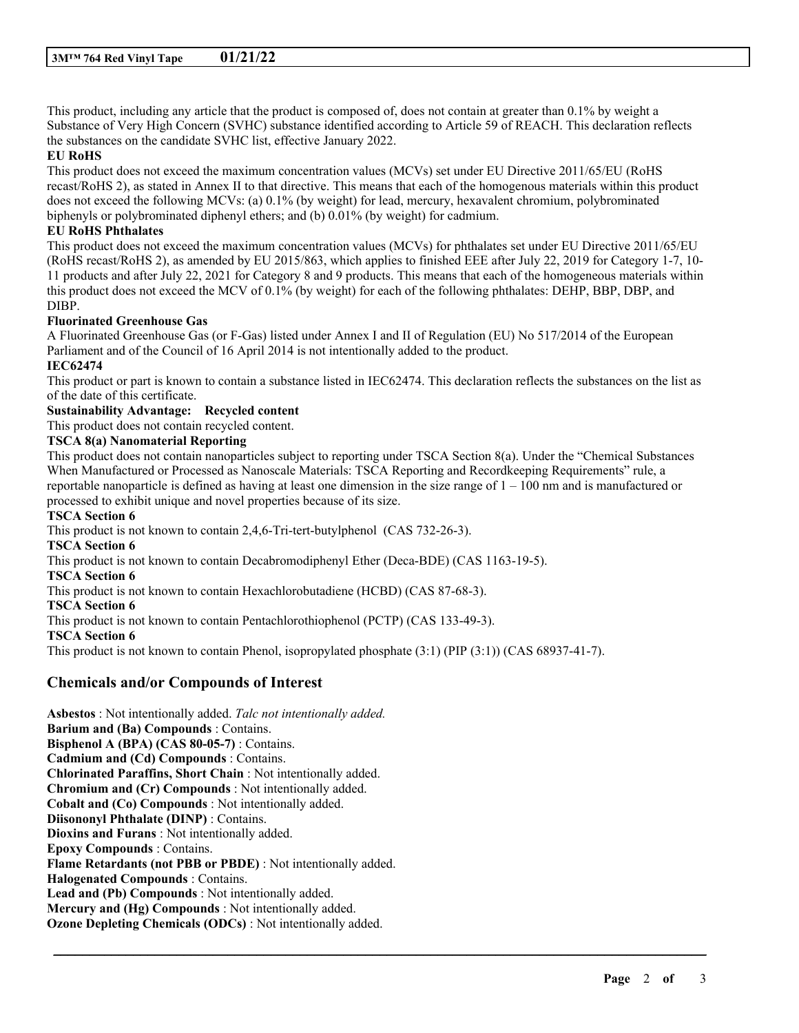This product, including any article that the product is composed of, does not contain at greater than 0.1% by weight a Substance of Very High Concern (SVHC) substance identified according to Article 59 of REACH. This declaration reflects the substances on the candidate SVHC list, effective January 2022.

#### **EU RoHS**

This product does not exceed the maximum concentration values (MCVs) set under EU Directive 2011/65/EU (RoHS recast/RoHS 2), as stated in Annex II to that directive. This means that each of the homogenous materials within this product does not exceed the following MCVs: (a) 0.1% (by weight) for lead, mercury, hexavalent chromium, polybrominated biphenyls or polybrominated diphenyl ethers; and (b) 0.01% (by weight) for cadmium.

## **EU RoHS Phthalates**

This product does not exceed the maximum concentration values (MCVs) for phthalates set under EU Directive 2011/65/EU (RoHS recast/RoHS 2), as amended by EU 2015/863, which applies to finished EEE after July 22, 2019 for Category 1-7, 10- 11 products and after July 22, 2021 for Category 8 and 9 products. This means that each of the homogeneous materials within this product does not exceed the MCV of 0.1% (by weight) for each of the following phthalates: DEHP, BBP, DBP, and DIBP.

#### **Fluorinated Greenhouse Gas**

A Fluorinated Greenhouse Gas (or F-Gas) listed under Annex I and II of Regulation (EU) No 517/2014 of the European Parliament and of the Council of 16 April 2014 is not intentionally added to the product.

## **IEC62474**

This product or part is known to contain a substance listed in IEC62474. This declaration reflects the substances on the list as of the date of this certificate.

## **Sustainability Advantage: Recycled content**

This product does not contain recycled content.

#### **TSCA 8(a) Nanomaterial Reporting**

This product does not contain nanoparticles subject to reporting under TSCA Section 8(a). Under the "Chemical Substances When Manufactured or Processed as Nanoscale Materials: TSCA Reporting and Recordkeeping Requirements" rule, a reportable nanoparticle is defined as having at least one dimension in the size range of  $1 - 100$  nm and is manufactured or processed to exhibit unique and novel properties because of its size.

\_\_\_\_\_\_\_\_\_\_\_\_\_\_\_\_\_\_\_\_\_\_\_\_\_\_\_\_\_\_\_\_\_\_\_\_\_\_\_\_\_\_\_\_\_\_\_\_\_\_\_\_\_\_\_\_\_\_\_\_\_\_\_\_\_\_\_\_\_\_\_\_\_\_\_\_\_\_\_\_\_\_\_\_\_\_\_\_\_\_

#### **TSCA Section 6**

This product is not known to contain 2,4,6-Tri-tert-butylphenol (CAS 732-26-3). **TSCA Section 6** This product is not known to contain Decabromodiphenyl Ether (Deca-BDE) (CAS 1163-19-5). **TSCA Section 6** This product is not known to contain Hexachlorobutadiene (HCBD) (CAS 87-68-3). **TSCA Section 6** This product is not known to contain Pentachlorothiophenol (PCTP) (CAS 133-49-3). **TSCA Section 6** This product is not known to contain Phenol, isopropylated phosphate (3:1) (PIP (3:1)) (CAS 68937-41-7).

## **Chemicals and/or Compounds of Interest**

**Asbestos** : Not intentionally added. *Talc not intentionally added.* **Barium and (Ba) Compounds** : Contains. **Bisphenol A (BPA) (CAS 80-05-7)** : Contains. **Cadmium and (Cd) Compounds** : Contains. **Chlorinated Paraffins, Short Chain** : Not intentionally added. **Chromium and (Cr) Compounds** : Not intentionally added. **Cobalt and (Co) Compounds** : Not intentionally added. **Diisononyl Phthalate (DINP)** : Contains. **Dioxins and Furans** : Not intentionally added. **Epoxy Compounds** : Contains. **Flame Retardants (not PBB or PBDE)** : Not intentionally added. **Halogenated Compounds** : Contains. **Lead and (Pb) Compounds** : Not intentionally added. **Mercury and (Hg) Compounds** : Not intentionally added. **Ozone Depleting Chemicals (ODCs)** : Not intentionally added.